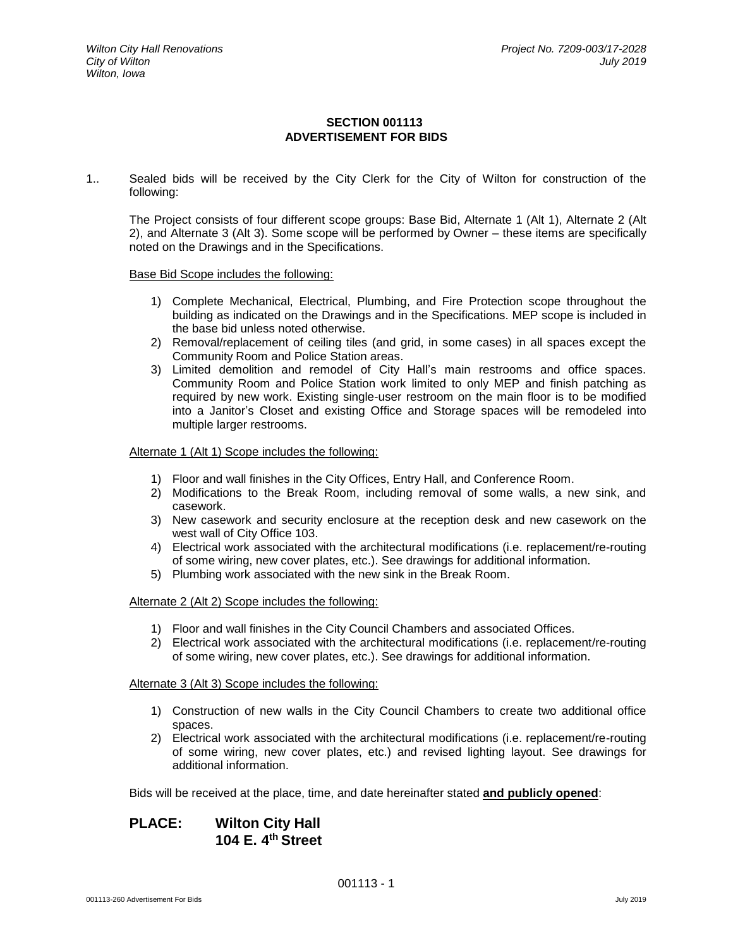### **SECTION 001113 ADVERTISEMENT FOR BIDS**

1.. Sealed bids will be received by the City Clerk for the City of Wilton for construction of the following:

The Project consists of four different scope groups: Base Bid, Alternate 1 (Alt 1), Alternate 2 (Alt 2), and Alternate 3 (Alt 3). Some scope will be performed by Owner – these items are specifically noted on the Drawings and in the Specifications.

#### Base Bid Scope includes the following:

- 1) Complete Mechanical, Electrical, Plumbing, and Fire Protection scope throughout the building as indicated on the Drawings and in the Specifications. MEP scope is included in the base bid unless noted otherwise.
- 2) Removal/replacement of ceiling tiles (and grid, in some cases) in all spaces except the Community Room and Police Station areas.
- 3) Limited demolition and remodel of City Hall's main restrooms and office spaces. Community Room and Police Station work limited to only MEP and finish patching as required by new work. Existing single-user restroom on the main floor is to be modified into a Janitor's Closet and existing Office and Storage spaces will be remodeled into multiple larger restrooms.

#### Alternate 1 (Alt 1) Scope includes the following:

- 1) Floor and wall finishes in the City Offices, Entry Hall, and Conference Room.
- 2) Modifications to the Break Room, including removal of some walls, a new sink, and casework.
- 3) New casework and security enclosure at the reception desk and new casework on the west wall of City Office 103.
- 4) Electrical work associated with the architectural modifications (i.e. replacement/re-routing of some wiring, new cover plates, etc.). See drawings for additional information.
- 5) Plumbing work associated with the new sink in the Break Room.

#### Alternate 2 (Alt 2) Scope includes the following:

- 1) Floor and wall finishes in the City Council Chambers and associated Offices.
- 2) Electrical work associated with the architectural modifications (i.e. replacement/re-routing of some wiring, new cover plates, etc.). See drawings for additional information.

#### Alternate 3 (Alt 3) Scope includes the following:

- 1) Construction of new walls in the City Council Chambers to create two additional office spaces.
- 2) Electrical work associated with the architectural modifications (i.e. replacement/re-routing of some wiring, new cover plates, etc.) and revised lighting layout. See drawings for additional information.

Bids will be received at the place, time, and date hereinafter stated **and publicly opened**:

# **PLACE: Wilton City Hall 104 E. 4 th Street**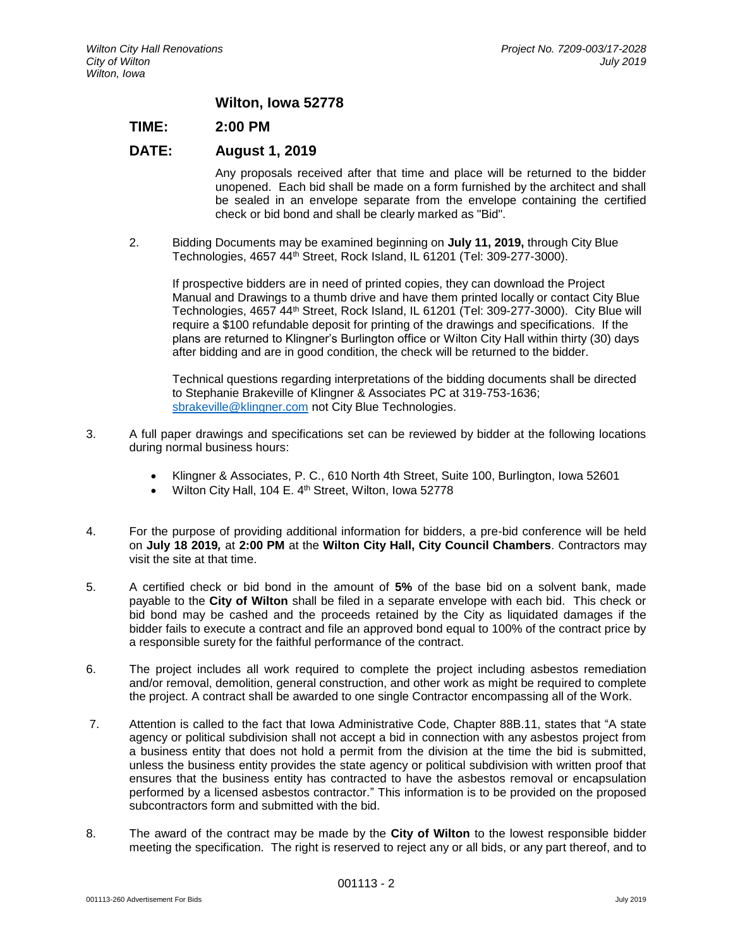### **Wilton, Iowa 52778**

## **TIME: 2:00 PM**

## **DATE: August 1, 2019**

Any proposals received after that time and place will be returned to the bidder unopened. Each bid shall be made on a form furnished by the architect and shall be sealed in an envelope separate from the envelope containing the certified check or bid bond and shall be clearly marked as "Bid".

2. Bidding Documents may be examined beginning on **July 11, 2019,** through City Blue Technologies, 4657 44th Street, Rock Island, IL 61201 (Tel: 309-277-3000).

If prospective bidders are in need of printed copies, they can download the Project Manual and Drawings to a thumb drive and have them printed locally or contact City Blue Technologies, 4657 44th Street, Rock Island, IL 61201 (Tel: 309-277-3000). City Blue will require a \$100 refundable deposit for printing of the drawings and specifications. If the plans are returned to Klingner's Burlington office or Wilton City Hall within thirty (30) days after bidding and are in good condition, the check will be returned to the bidder.

Technical questions regarding interpretations of the bidding documents shall be directed to Stephanie Brakeville of Klingner & Associates PC at 319-753-1636; [sbrakeville@klingner.com](mailto:sbrakeville@klingner.com) not City Blue Technologies.

- 3. A full paper drawings and specifications set can be reviewed by bidder at the following locations during normal business hours:
	- Klingner & Associates, P. C., 610 North 4th Street, Suite 100, Burlington, Iowa 52601
	- Wilton City Hall, 104 E. 4th Street, Wilton, Iowa 52778
- 4. For the purpose of providing additional information for bidders, a pre-bid conference will be held on **July 18 2019***,* at **2:00 PM** at the **Wilton City Hall, City Council Chambers**. Contractors may visit the site at that time.
- 5. A certified check or bid bond in the amount of **5%** of the base bid on a solvent bank, made payable to the **City of Wilton** shall be filed in a separate envelope with each bid. This check or bid bond may be cashed and the proceeds retained by the City as liquidated damages if the bidder fails to execute a contract and file an approved bond equal to 100% of the contract price by a responsible surety for the faithful performance of the contract.
- 6. The project includes all work required to complete the project including asbestos remediation and/or removal, demolition, general construction, and other work as might be required to complete the project. A contract shall be awarded to one single Contractor encompassing all of the Work.
- 7. Attention is called to the fact that Iowa Administrative Code, Chapter 88B.11, states that "A state agency or political subdivision shall not accept a bid in connection with any asbestos project from a business entity that does not hold a permit from the division at the time the bid is submitted, unless the business entity provides the state agency or political subdivision with written proof that ensures that the business entity has contracted to have the asbestos removal or encapsulation performed by a licensed asbestos contractor." This information is to be provided on the proposed subcontractors form and submitted with the bid.
- 8. The award of the contract may be made by the **City of Wilton** to the lowest responsible bidder meeting the specification. The right is reserved to reject any or all bids, or any part thereof, and to